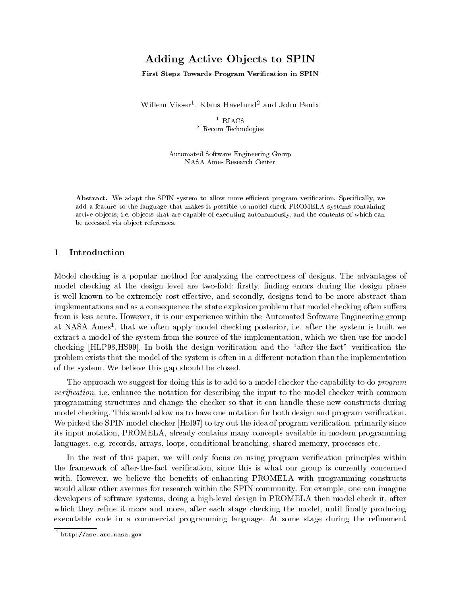# Adding Active Objects to SPIN

First Steps Towards Program Verification in SPIN

Willem Visser1 , Klaus Havelund<sup>2</sup> and John Penix

 $1$  RIACS <sup>2</sup> Recom Technologies

Automated Software Engineering Group NASA Ames Research Center

Abstract. We adapt the SPIN system to allow more efficient program verification. Specifically, we add a feature to the language that makes it possible to model check PROMELA systems containing active ob jects, i.e. ob jects that are capable of executing autonomously, and the contents of which can be accessed via ob ject references.

## 1 Introduction

Model checking is a popular method for analyzing the correctness of designs. The advantages of model checking at the design level are two-fold: firstly, finding errors during the design phase is well known to be extremely cost-effective, and secondly, designs tend to be more abstract than implementations and as a consequence the state explosion problem that model checking often suffers from is less acute. However, it is our experience within the Automated Software Engineering group at INASA Ames", that we often apply model checking posterior, i.e. after the system is built we extract a model of the system from the source of the implementation, which we then use for model checking [HLP98,HS99]. In both the design verification and the "after-the-fact" verification the problem exists that the model of the system is often in a different notation than the implementation of the system. We believe this gap should be closed.

The approach we suggest for doing this is to add to a model checker the capability to do *program* verification, i.e. enhance the notation for describing the input to the model checker with common programming structures and change the checker so that it can handle these new constructs during model checking. This would allow us to have one notation for both design and program verification. We picked the SPIN model checker [Hol97] to try out the idea of program verification, primarily since its input notation, PROMELA, already contains many concepts available in modern programming languages, e.g. records, arrays, loops, conditional branching, shared memory, processes etc.

In the rest of this paper, we will only focus on using program verification principles within the framework of after-the-fact verification, since this is what our group is currently concerned with. However, we believe the benefits of enhancing PROMELA with programming constructs would allow other avenues for research within the SPIN community. For example, one can imagine developers of software systems, doing a high-level design in PROMELA then model check it, after which they refine it more and more, after each stage checking the model, until finally producing executable code in a commercial programming language. At some stage during the refinement

<sup>1</sup> http://ase.arc.nasa.gov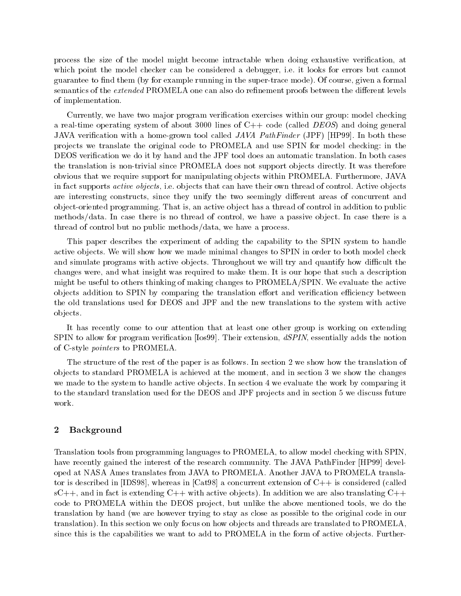process the size of the model might become intractable when doing exhaustive verication, at which point the model checker can be considered a debugger, i.e. it looks for errors but cannot guarantee to find them (by for example running in the super-trace mode). Of course, given a formal semantics of the extended PROMELA one can also do refinement proofs between the different levels of implementation.

Currently, we have two major program verification exercises within our group: model checking a real-time operating system of about 3000 lines of  $C++$  code (called *DEOS*) and doing general JAVA verification with a home-grown tool called  $JAVA$  PathFinder (JPF) [HP99]. In both these pro jects we translate the original code to PROMELA and use SPIN for model checking: in the DEOS verication we do it by hand and the JPF tool does an automatic translation. In both cases the translation is non-trivial since PROMELA does not support ob jects directly. It was therefore obvious that we require support for manipulating ob jects within PROMELA. Furthermore, JAVA in fact supports *active objects*, i.e. objects that can have their own thread of control. Active objects are interesting constructs, since they unify the two seemingly different areas of concurrent and object-oriented programming. That is, an active object has a thread of control in addition to public methods/data. In case there is no thread of control, we have a passive object. In case there is a thread of control but no public methods/data, we have a process.

This paper describes the experiment of adding the capability to the SPIN system to handle active objects. We will show how we made minimal changes to SPIN in order to both model check and simulate programs with active objects. Throughout we will try and quantify how difficult the changes were, and what insight was required to make them. It is our hope that such a description might be useful to others thinking of making changes to PROMELA/SPIN. We evaluate the active objects addition to SPIN by comparing the translation effort and verification efficiency between the old translations used for DEOS and JPF and the new translations to the system with active ob jects.

It has recently come to our attention that at least one other group is working on extending SPIN to allow for program verification [Ios99]. Their extension, dSPIN, essentially adds the notion of C-style pointers to PROMELA.

The structure of the rest of the paper is as follows. In section 2 we show how the translation of ob jects to standard PROMELA is achieved atthe moment, and in section 3 we show the changes we made to the system to handle active objects. In section 4 we evaluate the work by comparing it to the standard translation used for the DEOS and JPF projects and in section 5 we discuss future

## 2 Background

Translation tools from programming languages to PROMELA, to allow model checking with SPIN, have recently gained the interest of the research community. The JAVA PathFinder [HP99] developed at NASA Ames translates from JAVA to PROMELA. Another JAVA to PROMELA translator is described in [IDS98], whereas in  $\lceil \text{Cat98} \rceil$  a concurrent extension of  $C_{++}$  is considered (called  $sC++$ , and in fact is extending  $C++$  with active objects). In addition we are also translating  $C++$ code to PROMELA within the DEOS project, but unlike the above mentioned tools, we do the translation by hand (we are however trying to stay as close as possible to the original code in our translation). In this section we only focus on how objects and threads are translated to PROMELA. since this is the capabilities we want to add to PROMELA in the form of active objects. Further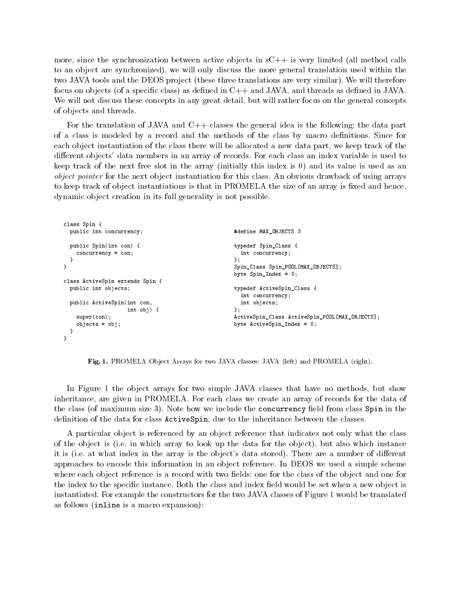more, since the synchronization between active objects in  $sC++$  is very limited (all method calls to an ob ject are synchronized), we will only discuss the more general translation used within the two JAVA tools and the DEOS project (these three translations are very similar). We will therefore focus on objects (of a specific class) as defined in  $C_{++}$  and JAVA, and threads as defined in JAVA. We will not discuss these concepts in any great detail, but will rather focus on the general concepts of ob jects and threads.

For the translation of JAVA and  $C++$  classes the general idea is the following: the data part of a class is modeled by a record and the methods of the class by macro definitions. Since for each object instantiation of the class there will be allocated a new data part, we keep track of the different objects' data members in an array of records. For each class an index variable is used to keep track of the next free slot in the array (initially this index is 0) and its value is used as an object pointer for the next object instantiation for this class. An obvious drawback of using arrays to keep track of object instantiations is that in PROMELA the size of an array is fixed and hence, dynamic object creation in its full generality is not possible.

```
class Spin {
 public int concurrency;
                                                   #define MAX_OBJECTS 3
 public Spin(int con) {
                                                   typedef Spin_Class {
   concurrency = con;
                                                    int concurrency:
                                                     int concurrency;
 ำ
  }
                                                   };
                                                   Spin_Class Spin_POOL[MAX_OBJECTS];
}
                                                   byte Spin_Index = 0;
class ActiveSpin extends Spin {
 public int objects;
                                                   typedef ActiveSpin_Class {
                                                    int concurrency;
 public ActiveSpin(int con,
                                                    int objects;
                   int obj) {
                                                   \ddagger:
                                                   };
                                                   ActiveSpin_Class ActiveSpin_POOL[MAX_OBJECTS];
    super(con);
    objects = obj;
                                                   byte ActiveSpin_Index = 0;
  }
}
```
Fig. 1. PROMELA Object Arrays for two JAVA classes: JAVA (left) and PROMELA (right).

In Figure 1 the object arrays for two simple JAVA classes that have no methods, but show inheritance, are given in PROMELA. For each class we create an array of records for the data of the class (of maximum size 3). Note how we include the concurrency field from class Spin in the definition of the data for class **ActiveSpin**, due to the inheritance between the classes.

A particular object is referenced by an object reference that indicates not only what the class of the ob ject is (i.e. in which array to look up the data for the ob ject), but also which instance it is (i.e. at what index in the array is the object's data stored). There are a number of different approaches to encode this information in an ob ject reference. In DEOS we used a simple scheme where each object reference is a record with two fields: one for the class of the object and one for the index to the specific instance. Both the class and index field would be set when a new object is instantiated. For example the constructors for the two JAVA classes of Figure 1 would be translated as follows (inline is a macro expansion):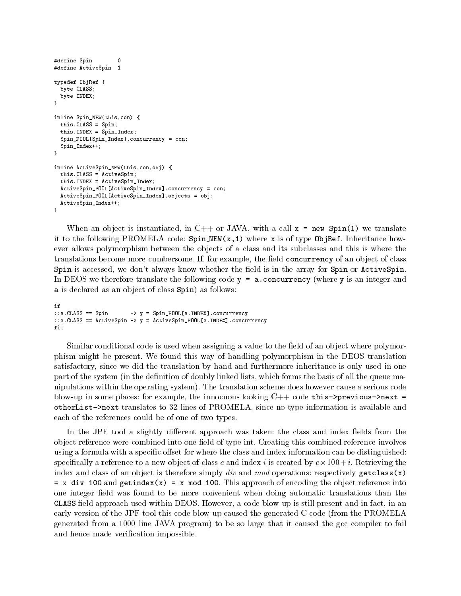```
#define Spin 0
                    \circ#define ActiveSpin 1
typedef ObjRef {
 byte CLASS;
 byte INDEX;
}
inline Spin_NEW(this,con) {
 this.CLASS = Spin;
 this.INDEX = Spin_Index;
 Spin_POOL[Spin_Index].concurrency = con;
 Spin_Index++;
}
inline ActiveSpin_NEW(this,con,obj) {
 this.CLASS = ActiveSpin;
 this.INDEX = ActiveSpin_Index;
 ActiveSpin_POOL[ActiveSpin_Index].concurrency = con;
 ActiveSpin_POOL[ActiveSpin_Index].objects = obj;
 ActiveSpin_Index++;
þ
}
```
When an object is instantiated, in  $C++$  or JAVA, with a call  $x = new Spin(1)$  we translate it to the following PROMELA code:  $Spin_MEW(x,1)$  where x is of type ObjRef. Inheritance however allows polymorphism between the objects of a class and its subclasses and this is where the translations become more cumbersome. If, for example, the field concurrency of an object of class Spin is accessed, we don't always know whether the field is in the array for Spin or ActiveSpin. In DEOS we therefore translate the following code  $y = a$ . concurrency (where y is an integer and a is declared as an object of class Spin) as follows:

```
if
::a.CLASS == Spin -> y = Spin_POOL[a.INDEX].concurrency
::a.CLASS == ActiveSpin -> y = ActiveSpin_POOL[a.INDEX].concurrency
= \frac{1}{2}
```
Similar conditional code is used when assigning a value to the field of an object where polymorphism might be present. We found this way of handling polymorphism in the DEOS translation satisfactory, since we did the translation by hand and furthermore inheritance is only used in one part of the system (in the definition of doubly linked lists, which forms the basis of all the queue manipulations within the operating system). The translation scheme does however cause a serious code blow-up in some places: for example, the innocuous looking  $C++$  code this->previous->next = otherList->next translates to 32 lines of PROMELA, since no type information is available and each of the references could be of one of two types.

In the JPF tool a slightly different approach was taken: the class and index fields from the object reference were combined into one field of type int. Creating this combined reference involves using a formula with a specific offset for where the class and index information can be distinguished: species in a content to a new object of class content index in the collection of the collection  $\eta$  into the co index and class of an object is therefore simply div and mod operations: respectively getclass(x)  $= x$  div 100 and getindex(x) = x mod 100. This approach of encoding the object reference into one integer field was found to be more convenient when doing automatic translations than the CLASS eld approach used within DEOS. However, a code blow-up is still present and in fact, in an early version of the JPF tool this code blow-up caused the generated C code (from the PROMELA generated from a 1000 line JAVA program) to be so large that it caused the gcc compiler to fail and hence made verification impossible.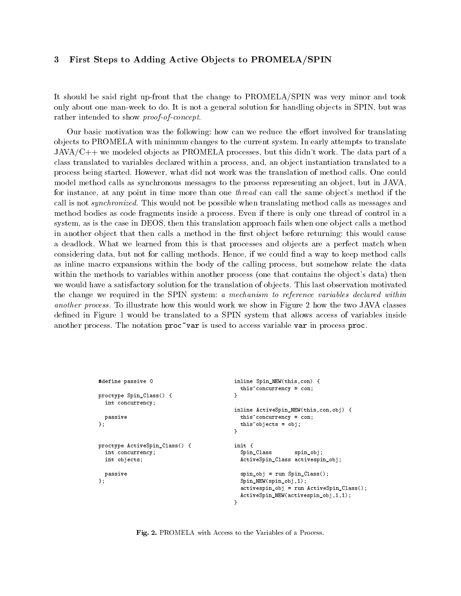#### First Steps to Adding Active Objects to PROMELA/SPIN 3

It should be said right up-front that the change to PROMELA/SPIN was very minor and took only about one man-week to do. It is not a general solution for handling objects in SPIN, but was rather intended to show proof-of-concept.

Our basic motivation was the following: how can we reduce the effort involved for translating ob jects to PROMELA with minimum changes to the current system. In early attempts to translate  $JAVA/C++$  we modeled objects as PROMELA processes, but this didn't work. The data part of a class translated to variables declared within a process, and, an ob ject instantiation translated to a process being started. However, what did not work was the translation of method calls. One could model method calls as synchronous messages to the process representing an object, but in JAVA, for instance, at any point in time more than one *thread* can call the same object's method if the call is not synchronized. This would not be possible when translating method calls as messages and method bodies as code fragments inside a process. Even if there is only one thread of control in a system, as is the case in DEOS, then this translation approach fails when one object calls a method in another object that then calls a method in the first object before returning: this would cause a deadlock. What we learned from this is that processes and objects are a perfect match when considering data, but not for calling methods. Hence, if we could find a way to keep method calls as inline macro expansions within the body of the calling process, but somehow relate the data within the methods to variables within another process (one that contains the object's data) then we would have a satisfactory solution for the translation of objects. This last observation motivated the change we required in the SPIN system: a mechanism to reference variables declared within another process. To illustrate how this would work we show in Figure 2 how the two JAVA classes defined in Figure 1 would be translated to a SPIN system that allows access of variables inside another process. The notation  $proc^*var$  is used to access variable var in process proc.

```
#define passive 0
                                                        inline Spin_NEW(this,con) {
                                                          this~concurrency = con;
proctype Spin_Class() {
                                                         }
  int concurrency;
                                                        inline ActiveSpin_NEW(this,con,obj) {
  passive
                                                           this~concurrency = con;
                                                           this~objects = obj;
};
                                                        \mathbf{r}}
proctype ActiveSpin_Class() {
                                                        init f
                                                         init a second control of the second control of the second control of the second control of the second control of the second control of the second control of the second control of the second control of the second control of
  int concurrency;
                                                           Spin_Class spin_obj;
  int objects;
                                                           ActiveSpin_Class activespin_obj;
 passive
                                                           spin obj = run Spin Class():
                                                            spinace in Section Spinace ();
                                                           Spin_NEW(spin_obj,1);
};
                                                           activespin_obj = run ActiveSpin_Class();
                                                           ActiveSpin_NEW(activespin_obj,1,1);
                                                         }
```
Fig. 2. PROMELA with Access to the Variables of a Process.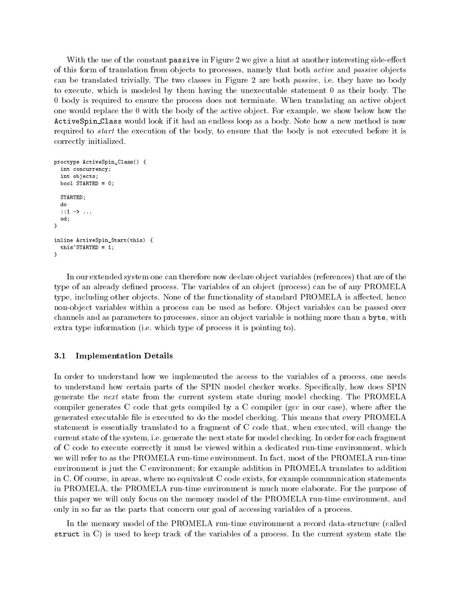With the use of the constant  $\mathsf{passive}$  in Figure 2 we give a hint at another interesting side-effect of this form of translation from objects to processes, namely that both *active* and *passive* objects can be translated trivially. The two classes in Figure 2 are both passive, i.e. they have no body to execute, which is modeled by them having the unexecutable statement 0 as their body. The 0 body is required to ensure the process does not terminate. When translating an active ob ject one would replace the 0 with the body of the active ob ject. For example, we show below how the ActiveSpin Class would look if it had an endless loop as a body. Note how a new method is now required to start the execution of the body, to ensure that the body is not executed before it is correctly initialized.

```
proctype ActiveSpin_Class() {
  int concurrency;
  int objects;
 bool STARTED = 0;
 STARTED:
  S = S statistics are S = Sdo
  ::1 -> ...
  od:od;
}
inline ActiveSpin_Start(this) {
 this~STARTED = 1;
\mathbf{r}}
```
In our extended system one can therefore now declare object variables (references) that are of the type of an already defined process. The variables of an object (process) can be of any PROMELA type, including other objects. None of the functionality of standard PROMELA is affected, hence non-object variables within a process can be used as before. Object variables can be passed over channels and as parameters to processes, since an object variable is nothing more than a byte, with extra type information (i.e. which type of process it is pointing to).

## 3.1 Implementation Details

In order to understand how we implemented the access to the variables of a process, one needs to understand how certain parts of the SPIN model checker works. Specifically, how does SPIN generate the next state from the current system state during model checking. The PROMELA compiler generates C code that gets compiled by a C compiler (gcc in our case), where after the generated executable file is executed to do the model checking. This means that every PROMELA statement is essentially translated to a fragment of C code that, when executed, will change the current state of the system, i.e. generate the next state for model checking. In order for each fragment of C code to execute correctly it must be viewed within a dedicated run-time environment, which we will refer to as the PROMELA run-time environment. In fact, most of the PROMELA run-time environment is just the C environment; for example addition in PROMELA translates to addition in C. Of course, in areas, where no equivalent C code exists, for example communication statements in PROMELA, the PROMELA run-time environment is much more elaborate. For the purpose of this paper we will only focus on the memory model of the PROMELA run-time environment, and only in so far as the parts that concern our goal of accessing variables of a process.

In the memory model of the PROMELA run-time environment a record data-structure (called struct in C) is used to keep track of the variables of a process. In the current system state the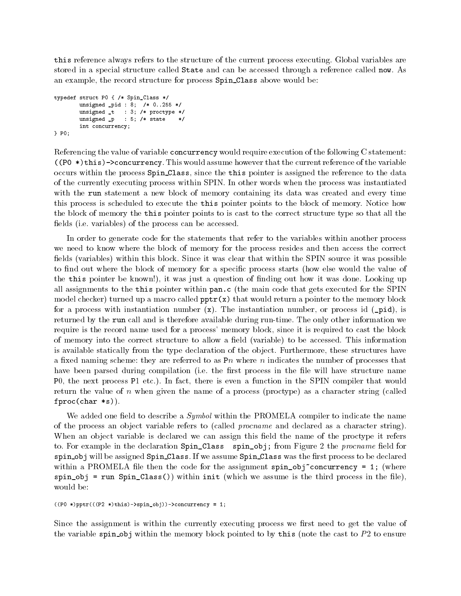this reference always refers to the structure of the current process executing. Global variables are stored in a special structure called State and can be accessed through a reference called now. As an example, the record structure for process Spin Class above would be:

```
typedef struct P0 { /* Spin_Class */
         unsigned _pid : 8; /* 0..255 */
          \blacksquareunsigned and the state of the state of the state of the state of the state of the state of the state of the st
          int concurrency;
} P0;
```
Referencing the value of variable concurrency would require execution of the following C statement:  $((P0 * t)$ this)->concurrency. This would assume however that the current reference of the variable occurs within the process Spin Class, since the this pointer is assigned the reference to the data of the currently executing process within SPIN. In other words when the process was instantiated with the run statement a new block of memory containing its data was created and every time this process is scheduled to execute the this pointer points to the block of memory. Notice how the block of memory the this pointer points to is cast to the correct structure type so that all the fields (i.e. variables) of the process can be accessed.

In order to generate code for the statements that refer to the variables within another process we need to know where the block of memory for the process resides and then access the correct fields (variables) within this block. Since it was clear that within the SPIN source it was possible to find out where the block of memory for a specific process starts (how else would the value of the this pointer be known!), it was just a question of nding out how it was done. Looking up all assignments to the this pointer within pan.c (the main code that gets executed for the SPIN model checker) turned up a macro called  $\text{pptr}(x)$  that would return a pointer to the memory block for a process with instantiation number  $(x)$ . The instantiation number, or process id  $(\text{pid})$ , is returned by the run call and is therefore available during run-time. The only other information we require is the record name used for a process' memory block, since it is required to cast the block of memory into the correct structure to allow a field (variable) to be accessed. This information is available statically from the type declaration of the object. Furthermore, these structures have a fixed naming scheme: they are referred to as  $P_n$  where n indicates the number of processes that have been parsed during compilation (i.e. the first process in the file will have structure name P0, the next process P1 etc.). In fact, there is even a function in the SPIN compiler that would return the value of <sup>n</sup> when given the name of a process (proctype) as a character string (called fproc(char \*s)).

We added one field to describe a  $Symbol$  within the PROMELA compiler to indicate the name of the process an object variable refers to (called *procname* and declared as a character string). When an object variable is declared we can assign this field the name of the proctype it refers to. For example in the declaration  $Spin\_Class$  spin\_obj; from Figure 2 the *procname* field for spin obj will be assigned Spin Class. If we assume Spin Class was the first process to be declared within a PROMELA file then the code for the assignment  $spin\_obj$  concurrency = 1; (where  $spin\_obj$  = run Spin\_Class()) within init (which we assume is the third process in the file), would be:

```
((P0 *)pptr(((P2 *)this) - \n    spin\_obj)) - \n    soncurrency = 1;
```
Since the assignment is within the currently executing process we first need to get the value of the variable spin obj within the memory block pointed to by this (note the cast to  $P2$  to ensure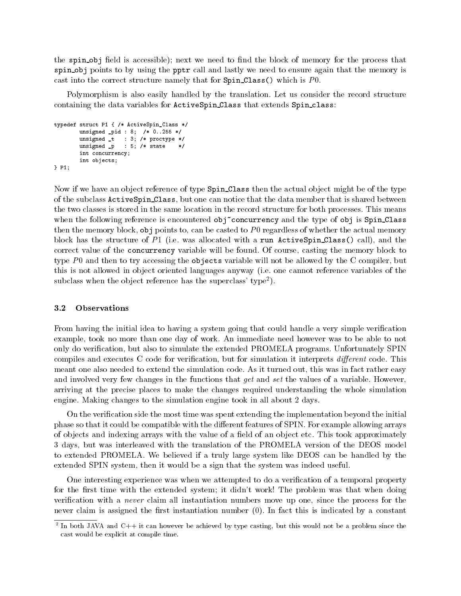the spin obj field is accessible); next we need to find the block of memory for the process that spin obj points to by using the pptr call and lastly we need to ensure again that the memory is cast into the correct structure namely that for  $Spin\_Class()$  which is P0.

Polymorphism is also easily handled by the translation. Let us consider the record structure containing the data variables for ActiveSpin Class that extends Spin class:

```
typedef struct P1 { /* ActiveSpin_Class */
         unsigned _pid : 8; /* 0..255 */
         \blacksquareunsigned and the state of the state of the state of the state of the state of the state of the state of the st
         int concurrency;
         int objects;
\} P1:
} P1;
```
Now if we have an object reference of type Spin Class then the actual object might be of the type of the subclass ActiveSpin Class, but one can notice that the data member that is shared between the two classes is stored in the same location in the record structure for both processes. This means when the following reference is encountered obj~concurrency and the type of obj is Spin Class then the memory block,  $\delta$ b points to, can be casted to P0 regardless of whether the actual memory block has the structure of  $P1$  (i.e. was allocated with a run ActiveSpin Class() call), and the correct value of the concurrency variable will be found. Of course, casting the memory block to type  $P_0$  and then to try accessing the objects variable will not be allowed by the C compiler, but this is not allowed in ob ject oriented languages anyway (i.e. one cannot reference variables of the subclass when the object reference has the superclass' type<sup>2</sup>).

From having the initial idea to having a system going that could handle a very simple verification example, took no more than one day of work. An immediate need however was to be able to not only do verication, but also to simulate the extended PROMELA programs. Unfortunately SPIN compiles and executes C code for verification, but for simulation it interprets *different* code. This meant one also needed to extend the simulation code. As it turned out, this was in fact rather easy and involved very few changes in the functions that get and set the values of a variable. However, arriving at the precise places to make the changes required understanding the whole simulation engine. Making changes to the simulation engine took in all about 2 days.

On the verication side the most time was spent extending the implementation beyond the initial phase so that it could be compatible with the different features of SPIN. For example allowing arrays of objects and indexing arrays with the value of a field of an object etc. This took approximately 3 days, but was interleaved with the translation of the PROMELA version of the DEOS model to extended PROMELA. We believed if a truly large system like DEOS can be handled by the extended SPIN system, then it would be a sign that the system was indeed useful.

One interesting experience was when we attempted to do a verication of a temporal property for the first time with the extended system; it didn't work! The problem was that when doing verification with a *never* claim all instantiation numbers move up one, since the process for the never claim is assigned the first instantiation number  $(0)$ . In fact this is indicated by a constant

<sup>2</sup> In both JAVA and C++ it can however be achieved by type casting, but this would not be a problem since the cast would be explicit at compile time.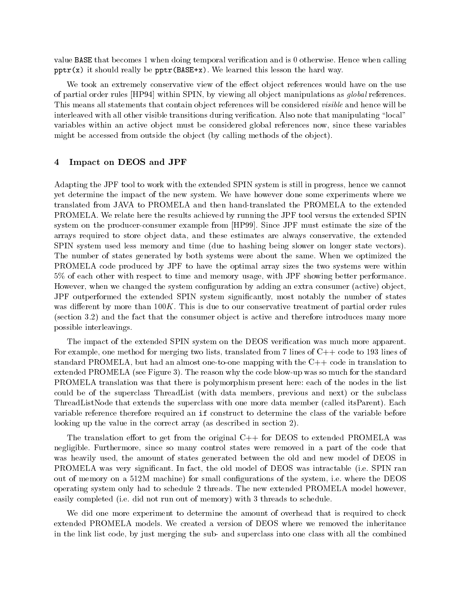value BASE that becomes 1 when doing temporal verification and is 0 otherwise. Hence when calling  $pptr(x)$  it should really be  $pptr(BASE+x)$ . We learned this lesson the hard way.

We took an extremely conservative view of the effect object references would have on the use of partial order rules [HP94] within SPIN, by viewing all object manipulations as *global* references. This means all statements that contain object references will be considered *visible* and hence will be interleaved with all other visible transitions during verification. Also note that manipulating "local" variables within an active object must be considered global references now, since these variables might be accessed from outside the object (by calling methods of the object).

#### 4 Impact on DEOS and JPF

Adapting the JPF tool to work with the extended SPIN system is still in progress, hence we cannot yet determine the impact of the new system. We have however done some experiments where we translated from JAVA to PROMELA and then hand-translated the PROMELA to the extended PROMELA. We relate here the results achieved by running the JPF tool versus the extended SPIN system on the producer-consumer example from [HP99]. Since JPF must estimate the size of the arrays required to store object data, and these estimates are always conservative, the extended SPIN system used less memory and time (due to hashing being slower on longer state vectors). The number of states generated by both systems were about the same. When we optimized the PROMELA code produced by JPF to have the optimal array sizes the two systems were within 5% of each other with respect to time and memory usage, with JPF showing better performance. However, when we changed the system configuration by adding an extra consumer (active) object. JPF outperformed the extended SPIN system signicantly, most notably the number of states was different by more than  $100K$ . This is due to our conservative treatment of partial order rules (section 3.2) and the fact that the consumer object is active and therefore introduces many more possible interleavings.

The impact of the extended SPIN system on the DEOS verification was much more apparent. For example, one method for merging two lists, translated from 7 lines of C++ code to 193 lines of standard PROMELA, but had an almost one-to-one mapping with the C++ code in translation to extended PROMELA (see Figure 3). The reason why the code blow-up was so much for the standard PROMELA translation was that there is polymorphism present here: each of the nodes in the list could be of the superclass ThreadList (with data members, previous and next) or the subclass ThreadListNode that extends the superclass with one more data member (called itsParent). Each variable reference therefore required an if construct to determine the class of the variable before looking up the value in the correct array (as described in section 2).

The translation effort to get from the original  $C++$  for DEOS to extended PROMELA was negligible. Furthermore, since so many control states were removed in a part of the code that was heavily used, the amount of states generated between the old and new model of DEOS in PROMELA was very signicant. In fact, the old model of DEOS was intractable (i.e. SPIN ran out of memory on a 512M machine) for small congurations of the system, i.e. where the DEOS operating system only had to schedule 2 threads. The new extended PROMELA model however, easily completed (i.e. did not run out of memory) with 3 threads to schedule.

We did one more experiment to determine the amount of overhead that is required to check extended PROMELA models. We created a version of DEOS where we removed the inheritance in the link list code, by just merging the sub- and superclass into one class with all the combined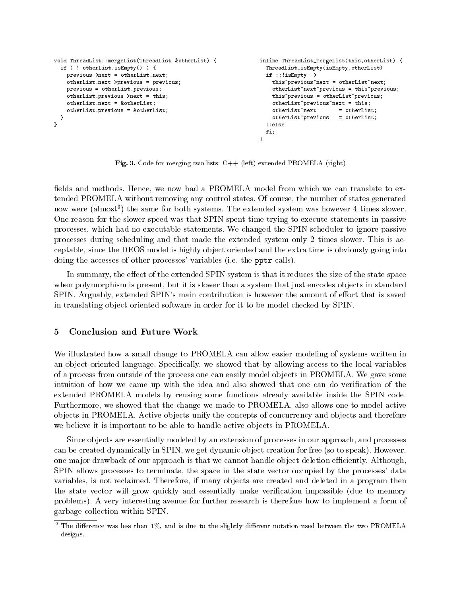```
void ThreadList::mergeList(ThreadList &otherList) {
                                                              inline ThreadList_mergeList(this,otherList) {
 if ( ! otherList.isEmpty() ) {
                                                                ThreadList_isEmpty(isEmpty,otherList)
   previous->next = otherList.next;
                                                                 if ::!isEmpty ->
   otherList.next->previous = previous;
                                                                  this~previous~next = otherList~next;
   previous = otherList.previous;
                                                                  otherList~next~previous = this~previous;
   otherList.previous->next = this;
                                                                  this~previous = otherList~previous;
   otherList.next = &otherList;
                                                                  otherList~previous~next = this;
                                                                  otherList~next = otherList;
   otherList.previous = &otherList;
                                                                  otherList~previous = otherList;
  }
                                                                 ::else
}
                                                                 = \frac{1}{2}}
                                                               }
```
Fig. 3. Code for merging two lists:  $C++$  (left) extended PROMELA (right)

fields and methods. Hence, we now had a PROMELA model from which we can translate to extended PROMELA without removing any control states. Of course, the number of states generated now were (almost<sup>3</sup> ) the same for both systems. The extended system was however 4 times slower. One reason for the slower speed was that SPIN spent time trying to execute statements in passive processes, which had no executable statements. We changed the SPIN scheduler to ignore passive processes during scheduling and that made the extended system only2 times slower. This is acceptable, since the DEOS model is highly object oriented and the extra time is obviously going into doing the accesses of other processes' variables (i.e. the pptr calls).

In summary, the effect of the extended SPIN system is that it reduces the size of the state space when polymorphism is present, but it is slower than a system that just encodes objects in standard SPIN. Arguably, extended SPIN's main contribution is however the amount of effort that is saved in translating object oriented software in order for it to be model checked by SPIN.

#### 5 Conclusion and Future Work

We illustrated how a small change to PROMELA can allow easier modeling of systems written in an object oriented language. Specifically, we showed that by allowing access to the local variables of a process from outside of the process one can easily model ob jects in PROMELA. We gave some intuition of how we came up with the idea and also showed that one can do verication of the extended PROMELA models by reusing some functions already available inside the SPIN code. Furthermore, we showed that the change we made to PROMELA, also allows one to model active objects in PROMELA. Active objects unify the concepts of concurrency and objects and therefore we believe it is important to be able to handle active objects in PROMELA.

Since objects are essentially modeled by an extension of processes in our approach, and processes can be created dynamically in SPIN, we get dynamic object creation for free (so to speak). However, one major drawback of our approach is that we cannot handle object deletion efficiently. Although, SPIN allows processes to terminate, the space in the state vector occupied by the processes' data variables, is not reclaimed. Therefore, if many objects are created and deleted in a program then the state vector will grow quickly and essentially make verication impossible (due to memory problems). A very interesting avenue for further research is therefore how to implement a form of garbage collection within SPIN.

 $^\circ$  The difference was less than 1%, and is due to the slightly different notation used between the two PROMELA designs.